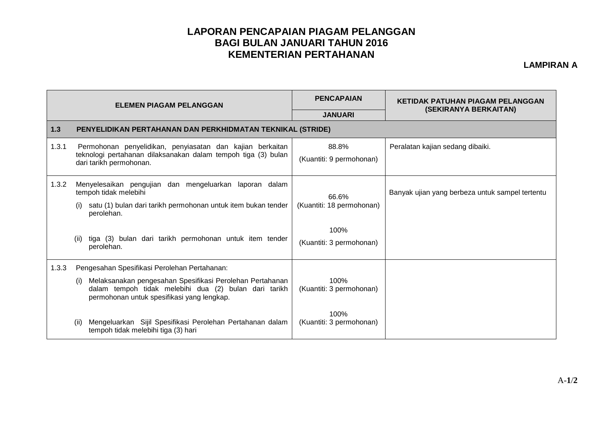## **LAPORAN PENCAPAIAN PIAGAM PELANGGAN BAGI BULAN JANUARI TAHUN 2016 KEMENTERIAN PERTAHANAN**

**LAMPIRAN A**

|       | <b>ELEMEN PIAGAM PELANGGAN</b>                                                                                                                                                                                                    | <b>PENCAPAIAN</b>                          | <b>KETIDAK PATUHAN PIAGAM PELANGGAN</b>         |  |  |  |
|-------|-----------------------------------------------------------------------------------------------------------------------------------------------------------------------------------------------------------------------------------|--------------------------------------------|-------------------------------------------------|--|--|--|
|       |                                                                                                                                                                                                                                   | <b>JANUARI</b>                             | (SEKIRANYA BERKAITAN)                           |  |  |  |
| 1.3   | PENYELIDIKAN PERTAHANAN DAN PERKHIDMATAN TEKNIKAL (STRIDE)                                                                                                                                                                        |                                            |                                                 |  |  |  |
| 1.3.1 | Permohonan penyelidikan, penyiasatan dan kajian berkaitan<br>teknologi pertahanan dilaksanakan dalam tempoh tiga (3) bulan<br>dari tarikh permohonan.                                                                             | 88.8%<br>(Kuantiti: 9 permohonan)          | Peralatan kajian sedang dibaiki.                |  |  |  |
| 1.3.2 | Menyelesaikan pengujian dan mengeluarkan laporan dalam<br>tempoh tidak melebihi<br>satu (1) bulan dari tarikh permohonan untuk item bukan tender<br>perolehan.<br>tiga (3) bulan dari tarikh permohonan untuk item tender<br>(ii) | 66.6%<br>(Kuantiti: 18 permohonan)<br>100% | Banyak ujian yang berbeza untuk sampel tertentu |  |  |  |
|       | perolehan.                                                                                                                                                                                                                        | (Kuantiti: 3 permohonan)                   |                                                 |  |  |  |
| 1.3.3 | Pengesahan Spesifikasi Perolehan Pertahanan:                                                                                                                                                                                      |                                            |                                                 |  |  |  |
|       | Melaksanakan pengesahan Spesifikasi Perolehan Pertahanan<br>(i)<br>dalam tempoh tidak melebihi dua (2) bulan dari tarikh<br>permohonan untuk spesifikasi yang lengkap.                                                            | 100%<br>(Kuantiti: 3 permohonan)           |                                                 |  |  |  |
|       | Mengeluarkan Sijil Spesifikasi Perolehan Pertahanan dalam<br>(ii)<br>tempoh tidak melebihi tiga (3) hari                                                                                                                          | 100%<br>(Kuantiti: 3 permohonan)           |                                                 |  |  |  |